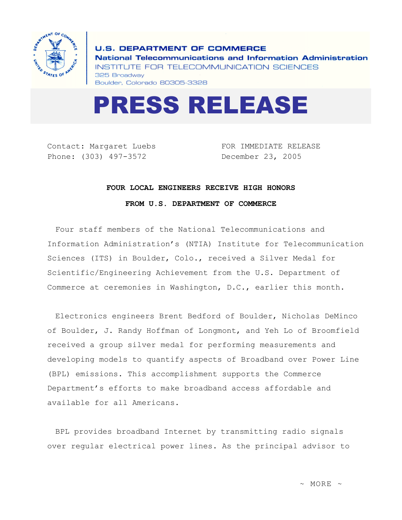

**U.S. DEPARTMENT OF COMMERCE** National Telecommunications and Information Administration INSTITUTE FOR TELECOMMUNICATION SCIENCES 325 Broadway Boulder, Colorado 80305-3328



Contact: Margaret Luebs Phone: (303) 497-3572

FOR IMMEDIATE RELEASE December 23, 2005

## **FOUR LOCAL ENGINEERS RECEIVE HIGH HONORS**

**FROM U.S. DEPARTMENT OF COMMERCE** 

Four staff members of the National Telecommunications and Information Administration's (NTIA) Institute for Telecommunication Sciences (ITS) in Boulder, Colo., received a Silver Medal for Scientific/Engineering Achievement from the U.S. Department of Commerce at ceremonies in Washington, D.C., earlier this month.

Electronics engineers Brent Bedford of Boulder, Nicholas DeMinco of Boulder, J. Randy Hoffman of Longmont, and Yeh Lo of Broomfield received a group silver medal for performing measurements and developing models to quantify aspects of Broadband over Power Line (BPL) emissions. This accomplishment supports the Commerce Department's efforts to make broadband access affordable and available for all Americans.

BPL provides broadband Internet by transmitting radio signals over regular electrical power lines. As the principal advisor to